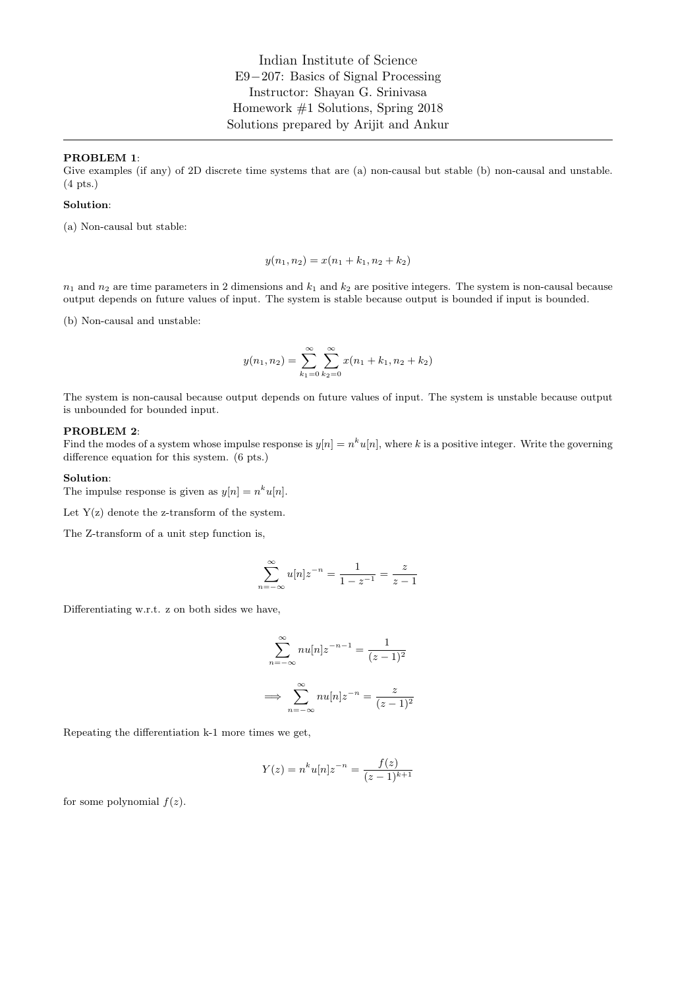Indian Institute of Science E9−207: Basics of Signal Processing Instructor: Shayan G. Srinivasa Homework #1 Solutions, Spring 2018 Solutions prepared by Arijit and Ankur

#### PROBLEM 1:

Give examples (if any) of 2D discrete time systems that are (a) non-causal but stable (b) non-causal and unstable. (4 pts.)

### Solution:

(a) Non-causal but stable:

$$
y(n_1, n_2) = x(n_1 + k_1, n_2 + k_2)
$$

 $n_1$  and  $n_2$  are time parameters in 2 dimensions and  $k_1$  and  $k_2$  are positive integers. The system is non-causal because output depends on future values of input. The system is stable because output is bounded if input is bounded.

(b) Non-causal and unstable:

$$
y(n_1, n_2) = \sum_{k_1=0}^{\infty} \sum_{k_2=0}^{\infty} x(n_1 + k_1, n_2 + k_2)
$$

The system is non-causal because output depends on future values of input. The system is unstable because output is unbounded for bounded input.

### PROBLEM 2:

Find the modes of a system whose impulse response is  $y[n] = n^k u[n]$ , where k is a positive integer. Write the governing difference equation for this system. (6 pts.)

#### Solution:

The impulse response is given as  $y[n] = n^k u[n]$ .

Let  $Y(z)$  denote the z-transform of the system.

The Z-transform of a unit step function is,

$$
\sum_{n=-\infty}^{\infty} u[n] z^{-n} = \frac{1}{1-z^{-1}} = \frac{z}{z-1}
$$

Differentiating w.r.t. z on both sides we have,

$$
\sum_{n=-\infty}^{\infty} nu[n]z^{-n-1} = \frac{1}{(z-1)^2}
$$

$$
\implies \sum_{n=-\infty}^{\infty} nu[n]z^{-n} = \frac{z}{(z-1)^2}
$$

Repeating the differentiation k-1 more times we get,

$$
Y(z) = n^{k}u[n]z^{-n} = \frac{f(z)}{(z-1)^{k+1}}
$$

for some polynomial  $f(z)$ .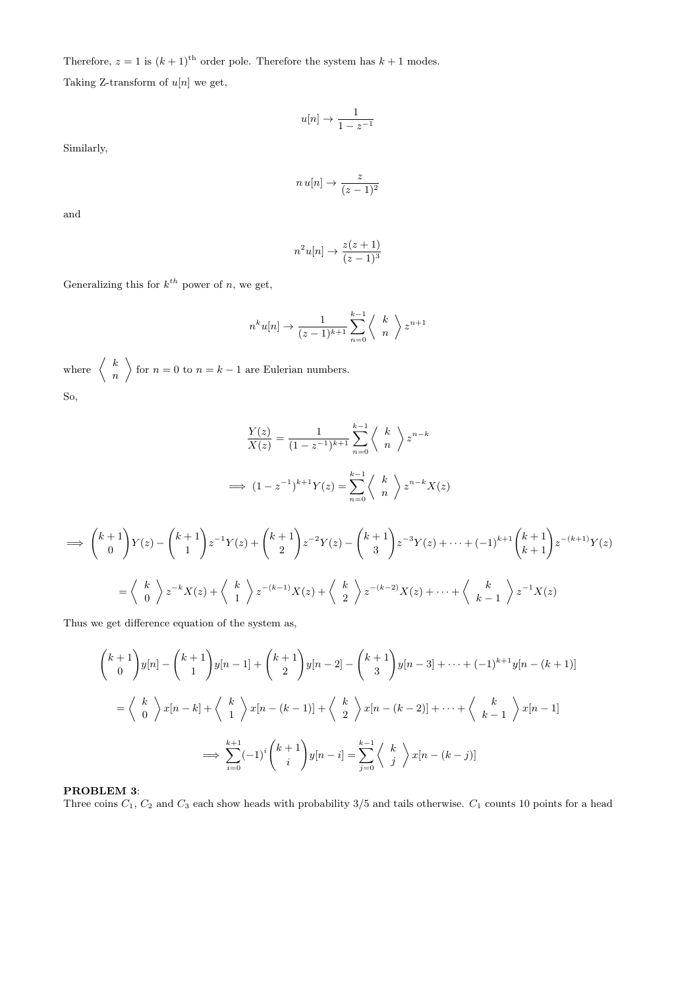Therefore,  $z = 1$  is  $(k + 1)$ <sup>th</sup> order pole. Therefore the system has  $k + 1$  modes. Taking Z-transform of  $\boldsymbol{u}[n]$  we get,

$$
u[n] \to \frac{1}{1-z^{-1}}
$$

Similarly,

$$
n\,u[n]\to \frac{z}{(z-1)^2}
$$

and

$$
n^2u[n] \to \frac{z(z+1)}{(z-1)^3}
$$

Generalizing this for  $k^{th}$  power of n, we get,

$$
n^{k}u[n] \rightarrow \frac{1}{(z-1)^{k+1}} \sum_{n=0}^{k-1} \left\langle \begin{array}{c} k \\ n \end{array} \right\rangle z^{n+1}
$$

where  $\begin{array}{c} k \\ k \end{array}$ n for  $n = 0$  to  $n = k - 1$  are Eulerian numbers. So,

$$
\frac{Y(z)}{X(z)} = \frac{1}{(1-z^{-1})^{k+1}} \sum_{n=0}^{k-1} \left\langle \begin{array}{c} k \\ n \end{array} \right\rangle z^{n-k}
$$
\n
$$
\implies (1-z^{-1})^{k+1}Y(z) = \sum_{n=0}^{k-1} \left\langle \begin{array}{c} k \\ n \end{array} \right\rangle z^{n-k}X(z)
$$

$$
\implies \binom{k+1}{0} Y(z) - \binom{k+1}{1} z^{-1} Y(z) + \binom{k+1}{2} z^{-2} Y(z) - \binom{k+1}{3} z^{-3} Y(z) + \dots + (-1)^{k+1} \binom{k+1}{k+1} z^{-(k+1)} Y(z)
$$

$$
= \binom{k}{0} z^{-k} X(z) + \binom{k}{1} z^{-(k-1)} X(z) + \binom{k}{2} z^{-(k-2)} X(z) + \dots + \binom{k}{k-1} z^{-1} X(z)
$$

Thus we get difference equation of the system as,

$$
\begin{aligned}\n\binom{k+1}{0} y[n] - \binom{k+1}{1} y[n-1] + \binom{k+1}{2} y[n-2] - \binom{k+1}{3} y[n-3] + \dots + (-1)^{k+1} y[n-(k+1)] \\
= \binom{k}{0} x[n-k] + \binom{k}{1} x[n-(k-1)] + \binom{k}{2} x[n-(k-2)] + \dots + \binom{k}{k-1} x[n-1] \\
\implies \sum_{i=0}^{k+1} (-1)^i \binom{k+1}{i} y[n-i] = \sum_{j=0}^{k-1} \binom{k}{j} x[n-(k-j)]\n\end{aligned}
$$

# PROBLEM 3:

Three coins  $C_1$ ,  $C_2$  and  $C_3$  each show heads with probability 3/5 and tails otherwise.  $C_1$  counts 10 points for a head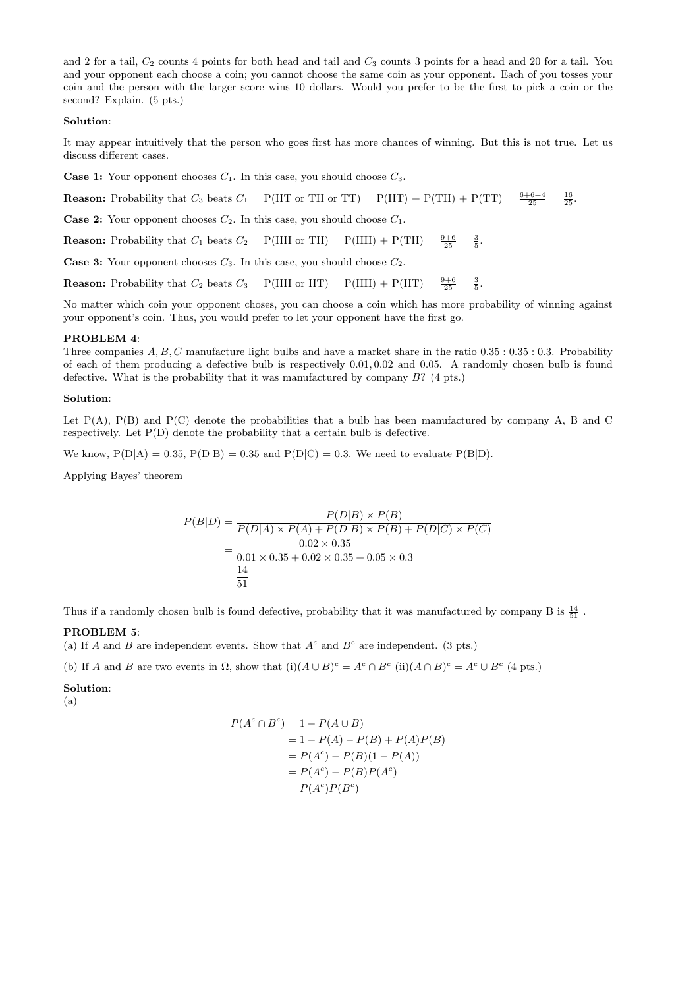and 2 for a tail,  $C_2$  counts 4 points for both head and tail and  $C_3$  counts 3 points for a head and 20 for a tail. You and your opponent each choose a coin; you cannot choose the same coin as your opponent. Each of you tosses your coin and the person with the larger score wins 10 dollars. Would you prefer to be the first to pick a coin or the second? Explain. (5 pts.)

# Solution:

It may appear intuitively that the person who goes first has more chances of winning. But this is not true. Let us discuss different cases.

**Case 1:** Your opponent chooses  $C_1$ . In this case, you should choose  $C_3$ .

**Reason:** Probability that  $C_3$  beats  $C_1 = P(HT \text{ or } TH \text{ or } TT) = P(HT) + P(TH) + P(TT) = \frac{6+6+4}{25} = \frac{16}{25}$ .

**Case 2:** Your opponent chooses  $C_2$ . In this case, you should choose  $C_1$ .

**Reason:** Probability that  $C_1$  beats  $C_2 = P(HH \text{ or } TH) = P(HH) + P(TH) = \frac{9+6}{25} = \frac{3}{5}$ .

**Case 3:** Your opponent chooses  $C_3$ . In this case, you should choose  $C_2$ .

**Reason:** Probability that  $C_2$  beats  $C_3 = P(HH \text{ or } HT) = P(HH) + P(HT) = \frac{9+6}{25} = \frac{3}{5}$ .

No matter which coin your opponent choses, you can choose a coin which has more probability of winning against your opponent's coin. Thus, you would prefer to let your opponent have the first go.

### PROBLEM 4:

Three companies  $A, B, C$  manufacture light bulbs and have a market share in the ratio  $0.35 : 0.35 : 0.3$ . Probability of each of them producing a defective bulb is respectively 0.01, 0.02 and 0.05. A randomly chosen bulb is found defective. What is the probability that it was manufactured by company B? (4 pts.)

#### Solution:

Let  $P(A)$ ,  $P(B)$  and  $P(C)$  denote the probabilities that a bulb has been manufactured by company A, B and C respectively. Let P(D) denote the probability that a certain bulb is defective.

We know,  $P(D|A) = 0.35$ ,  $P(D|B) = 0.35$  and  $P(D|C) = 0.3$ . We need to evaluate  $P(B|D)$ .

Applying Bayes' theorem

$$
P(B|D) = \frac{P(D|B) \times P(B)}{P(D|A) \times P(A) + P(D|B) \times P(B) + P(D|C) \times P(C)}
$$
  
= 
$$
\frac{0.02 \times 0.35}{0.01 \times 0.35 + 0.02 \times 0.35 + 0.05 \times 0.3}
$$
  
= 
$$
\frac{14}{51}
$$

Thus if a randomly chosen bulb is found defective, probability that it was manufactured by company B is  $\frac{14}{51}$ .

#### PROBLEM 5:

(a) If A and B are independent events. Show that  $A^c$  and  $B^c$  are independent. (3 pts.)

(b) If A and B are two events in  $\Omega$ , show that  $(i)(A \cup B)^c = A^c \cap B^c$  (ii) $(A \cap B)^c = A^c \cup B^c$  (4 pts.)

### Solution:

(a)

$$
P(Ac \cap Bc) = 1 - P(A \cup B)
$$
  
= 1 - P(A) - P(B) + P(A)P(B)  
= P(A<sup>c</sup>) - P(B)(1 - P(A))  
= P(A<sup>c</sup>) - P(B)P(A<sup>c</sup>)  
= P(A<sup>c</sup>)P(B<sup>c</sup>)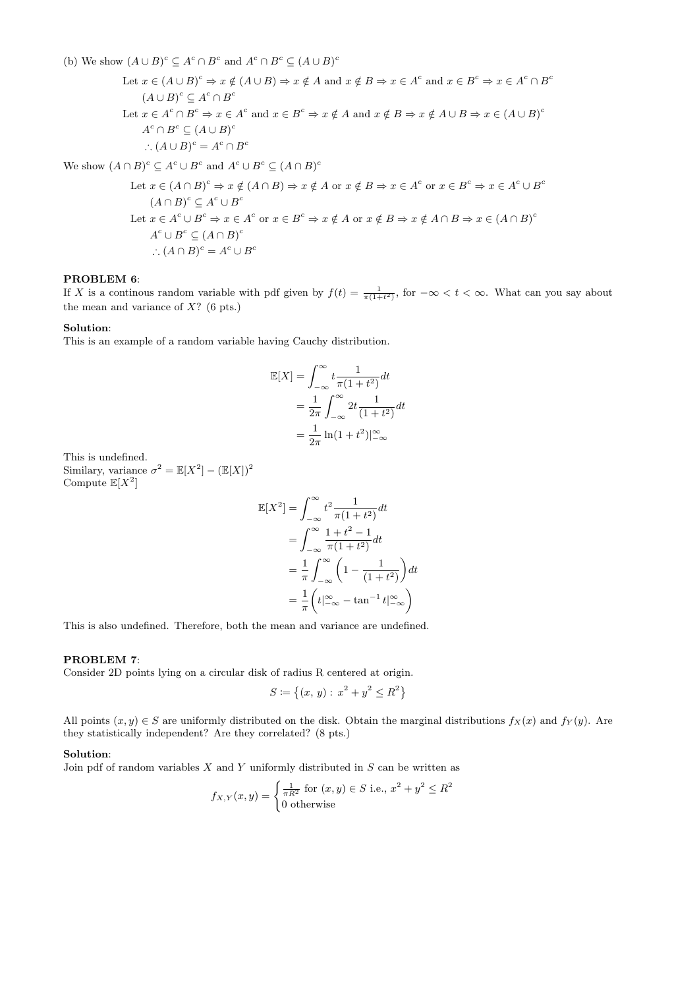(b) We show  $(A \cup B)^c \subseteq A^c \cap B^c$  and  $A^c \cap B^c \subseteq (A \cup B)^c$ 

Let  $x \in (A \cup B)^c \Rightarrow x \notin (A \cup B) \Rightarrow x \notin A$  and  $x \notin B \Rightarrow x \in A^c$  and  $x \in B^c \Rightarrow x \in A^c \cap B^c$  $(A \cup B)^c \subseteq A^c \cap B^c$ Let  $x \in A^c \cap B^c \Rightarrow x \in A^c$  and  $x \in B^c \Rightarrow x \notin A$  and  $x \notin B \Rightarrow x \notin A \cup B \Rightarrow x \in (A \cup B)^c$  $A^c \cap B^c \subseteq (A \cup B)^c$  $\therefore (A \cup B)^c = A^c \cap B^c$ 

We show  $(A \cap B)^c \subseteq A^c \cup B^c$  and  $A^c \cup B^c \subseteq (A \cap B)^c$ 

Let 
$$
x \in (A \cap B)^c \Rightarrow x \notin (A \cap B) \Rightarrow x \notin A
$$
 or  $x \notin B \Rightarrow x \in A^c$  or  $x \in B^c \Rightarrow x \in A^c \cup B^c$   
\n $(A \cap B)^c \subseteq A^c \cup B^c$   
\nLet  $x \in A^c \cup B^c \Rightarrow x \in A^c$  or  $x \in B^c \Rightarrow x \notin A$  or  $x \notin B \Rightarrow x \notin A \cap B \Rightarrow x \in (A \cap B)^c$   
\n $A^c \cup B^c \subseteq (A \cap B)^c$   
\n $\therefore (A \cap B)^c = A^c \cup B^c$ 

### PROBLEM 6:

If X is a continuous random variable with pdf given by  $f(t) = \frac{1}{\pi(1+t^2)}$ , for  $-\infty < t < \infty$ . What can you say about the mean and variance of  $X$ ? (6 pts.)

# Solution:

This is an example of a random variable having Cauchy distribution.

$$
\mathbb{E}[X] = \int_{-\infty}^{\infty} t \frac{1}{\pi(1+t^2)} dt
$$
  
= 
$$
\frac{1}{2\pi} \int_{-\infty}^{\infty} 2t \frac{1}{(1+t^2)} dt
$$
  
= 
$$
\frac{1}{2\pi} \ln(1+t^2) \vert_{-\infty}^{\infty}
$$

This is undefined. Similary, variance  $\sigma^2 = \mathbb{E}[X^2] - (\mathbb{E}[X])^2$ Compute  $\mathbb{E}[X^2]$ 

$$
\mathbb{E}[X^2] = \int_{-\infty}^{\infty} t^2 \frac{1}{\pi(1+t^2)} dt
$$
  
= 
$$
\int_{-\infty}^{\infty} \frac{1+t^2-1}{\pi(1+t^2)} dt
$$
  
= 
$$
\frac{1}{\pi} \int_{-\infty}^{\infty} \left(1 - \frac{1}{(1+t^2)}\right) dt
$$
  
= 
$$
\frac{1}{\pi} \left(t \Big|_{-\infty}^{\infty} - \tan^{-1} t \Big|_{-\infty}^{\infty}\right)
$$

This is also undefined. Therefore, both the mean and variance are undefined.

# PROBLEM 7:

Consider 2D points lying on a circular disk of radius R centered at origin.

$$
S \coloneqq \{(x, y) : x^2 + y^2 \le R^2\}
$$

All points  $(x, y) \in S$  are uniformly distributed on the disk. Obtain the marginal distributions  $f_X(x)$  and  $f_Y(y)$ . Are they statistically independent? Are they correlated? (8 pts.)

### Solution:

Join pdf of random variables  $X$  and  $Y$  uniformly distributed in  $S$  can be written as

$$
f_{X,Y}(x,y) = \begin{cases} \frac{1}{\pi R^2} \text{ for } (x,y) \in S \text{ i.e., } x^2 + y^2 \le R^2\\ 0 \text{ otherwise} \end{cases}
$$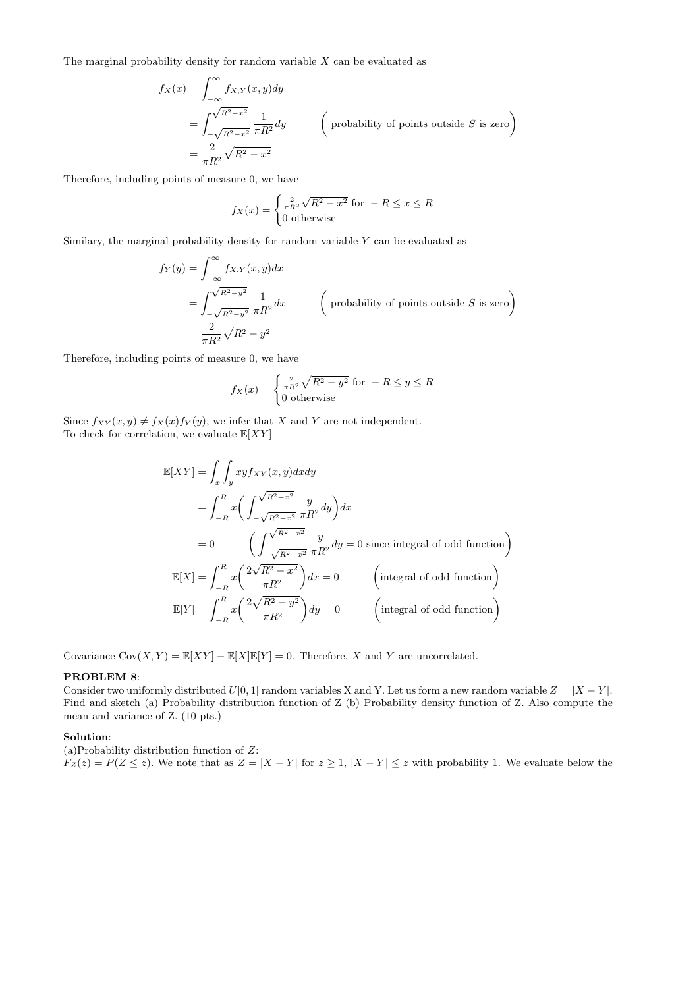The marginal probability density for random variable  $X$  can be evaluated as

$$
f_X(x) = \int_{-\infty}^{\infty} f_{X,Y}(x, y) dy
$$
  
= 
$$
\int_{-\sqrt{R^2 - x^2}}^{\sqrt{R^2 - x^2}} \frac{1}{\pi R^2} dy
$$
 (probability of points outside *S* is zero)  
= 
$$
\frac{2}{\pi R^2} \sqrt{R^2 - x^2}
$$

Therefore, including points of measure 0, we have

$$
f_X(x) = \begin{cases} \frac{2}{\pi R^2} \sqrt{R^2 - x^2} & \text{for } -R \le x \le R\\ 0 & \text{otherwise} \end{cases}
$$

Similary, the marginal probability density for random variable  $Y$  can be evaluated as

$$
f_Y(y) = \int_{-\infty}^{\infty} f_{X,Y}(x, y) dx
$$
  
= 
$$
\int_{-\sqrt{R^2 - y^2}}^{\sqrt{R^2 - y^2}} \frac{1}{\pi R^2} dx
$$
 (probability of points outside *S* is zero)  
= 
$$
\frac{2}{\pi R^2} \sqrt{R^2 - y^2}
$$

Therefore, including points of measure 0, we have

$$
f_X(x) = \begin{cases} \frac{2}{\pi R^2} \sqrt{R^2 - y^2} & \text{for } -R \le y \le R\\ 0 & \text{otherwise} \end{cases}
$$

Since  $f_{XY}(x, y) \neq f_X(x) f_Y(y)$ , we infer that X and Y are not independent. To check for correlation, we evaluate  $\mathbb{E}[XY]$ 

$$
\mathbb{E}[XY] = \int_x \int_y xy f_{XY}(x, y) dx dy
$$
  
\n
$$
= \int_{-R}^R x \left( \int_{-\sqrt{R^2 - x^2}}^{\sqrt{R^2 - x^2}} \frac{y}{\pi R^2} dy \right) dx
$$
  
\n
$$
= 0 \qquad \left( \int_{-\sqrt{R^2 - x^2}}^{\sqrt{R^2 - x^2}} \frac{y}{\pi R^2} dy = 0 \text{ since integral of odd function} \right)
$$
  
\n
$$
\mathbb{E}[X] = \int_{-R}^R x \left( \frac{2\sqrt{R^2 - x^2}}{\pi R^2} \right) dx = 0 \qquad \left( \text{integral of odd function} \right)
$$
  
\n
$$
\mathbb{E}[Y] = \int_{-R}^R x \left( \frac{2\sqrt{R^2 - y^2}}{\pi R^2} \right) dy = 0 \qquad \left( \text{integral of odd function} \right)
$$

Covariance  $Cov(X, Y) = \mathbb{E}[XY] - \mathbb{E}[X]\mathbb{E}[Y] = 0$ . Therefore, X and Y are uncorrelated.

#### PROBLEM 8:

Consider two uniformly distributed  $U[0, 1]$  random variables X and Y. Let us form a new random variable  $Z = |X - Y|$ . Find and sketch (a) Probability distribution function of Z (b) Probability density function of Z. Also compute the mean and variance of Z. (10 pts.)

# Solution:

(a)Probability distribution function of  $Z$ :  $F_Z(z) = P(Z \leq z)$ . We note that as  $Z = |X - Y|$  for  $z \geq 1$ ,  $|X - Y| \leq z$  with probability 1. We evaluate below the